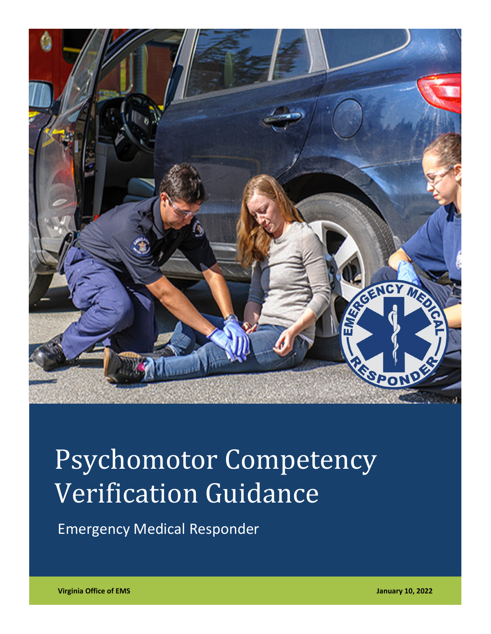

# Psychomotor Competency Verification Guidance

Emergency Medical Responder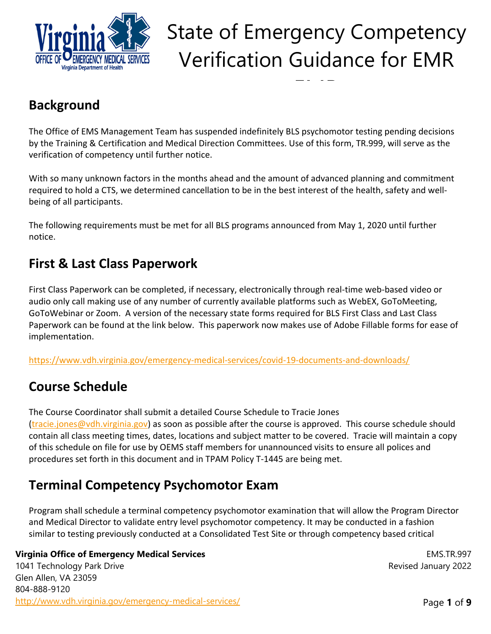

EMR

### **Background**

The Office of EMS Management Team has suspended indefinitely BLS psychomotor testing pending decisions by the Training & Certification and Medical Direction Committees. Use of this form, TR.999, will serve as the verification of competency until further notice.

With so many unknown factors in the months ahead and the amount of advanced planning and commitment required to hold a CTS, we determined cancellation to be in the best interest of the health, safety and well‐ being of all participants.

The following requirements must be met for all BLS programs announced from May 1, 2020 until further notice.

### **First & Last Class Paperwork**

First Class Paperwork can be completed, if necessary, electronically through real-time web-based video or audio only call making use of any number of currently available platforms such as WebEX, GoToMeeting, GoToWebinar or Zoom. A version of the necessary state forms required for BLS First Class and Last Class Paperwork can be found at the link below. This paperwork now makes use of Adobe Fillable forms for ease of implementation.

https://www.vdh.virginia.gov/emergency‐medical‐services/covid‐19‐documents‐and‐downloads/

### **Course Schedule**

The Course Coordinator shall submit a detailed Course Schedule to Tracie Jones (tracie.jones@vdh.virginia.gov) as soon as possible after the course is approved. This course schedule should contain all class meeting times, dates, locations and subject matter to be covered. Tracie will maintain a copy of this schedule on file for use by OEMS staff members for unannounced visits to ensure all polices and procedures set forth in this document and in TPAM Policy T‐1445 are being met.

### **Terminal Competency Psychomotor Exam**

Program shall schedule a terminal competency psychomotor examination that will allow the Program Director and Medical Director to validate entry level psychomotor competency. It may be conducted in a fashion similar to testing previously conducted at a Consolidated Test Site or through competency based critical

#### **Virginia Office of Emergency Medical Services**

1041 Technology Park Drive Glen Allen, VA 23059 804-888-9120 http://www.vdh.virginia.gov/emergency-medical-services/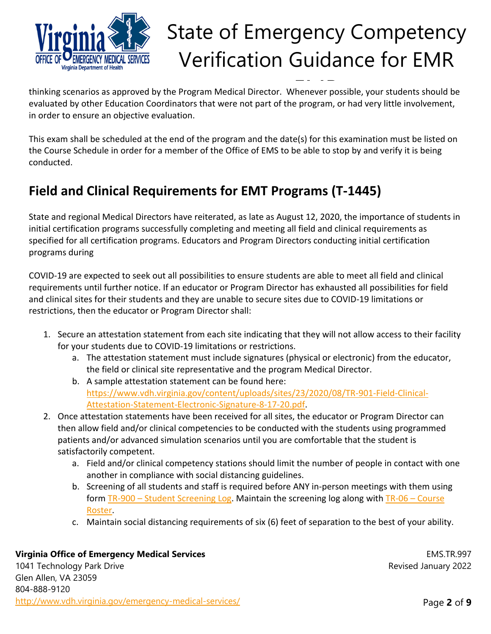

thinking scenarios as approved by the Program Medical Director. Whenever possible, your students should be evaluated by other Education Coordinators that were not part of the program, or had very little involvement, in order to ensure an objective evaluation.

This exam shall be scheduled at the end of the program and the date(s) for this examination must be listed on the Course Schedule in order for a member of the Office of EMS to be able to stop by and verify it is being conducted.

### **Field and Clinical Requirements for EMT Programs (T‐1445)**

State and regional Medical Directors have reiterated, as late as August 12, 2020, the importance of students in initial certification programs successfully completing and meeting all field and clinical requirements as specified for all certification programs. Educators and Program Directors conducting initial certification programs during

COVID‐19 are expected to seek out all possibilities to ensure students are able to meet all field and clinical requirements until further notice. If an educator or Program Director has exhausted all possibilities for field and clinical sites for their students and they are unable to secure sites due to COVID‐19 limitations or restrictions, then the educator or Program Director shall:

- 1. Secure an attestation statement from each site indicating that they will not allow access to their facility for your students due to COVID‐19 limitations or restrictions.
	- a. The attestation statement must include signatures (physical or electronic) from the educator, the field or clinical site representative and the program Medical Director.
	- b. A sample attestation statement can be found here: https://www.vdh.virginia.gov/content/uploads/sites/23/2020/08/TR‐901‐Field‐Clinical‐ Attestation‐Statement‐Electronic‐Signature‐8‐17‐20.pdf.
- 2. Once attestation statements have been received for all sites, the educator or Program Director can then allow field and/or clinical competencies to be conducted with the students using programmed patients and/or advanced simulation scenarios until you are comfortable that the student is satisfactorily competent.
	- a. Field and/or clinical competency stations should limit the number of people in contact with one another in compliance with social distancing guidelines.
	- b. Screening of all students and staff is required before ANY in‐person meetings with them using form TR-900 – Student Screening Log. Maintain the screening log along with TR-06 – Course Roster.
	- c. Maintain social distancing requirements of six (6) feet of separation to the best of your ability.

#### **Virginia Office of Emergency Medical Services**

1041 Technology Park Drive Glen Allen, VA 23059 804-888-9120 http://www.vdh.virginia.gov/emergency-medical-services/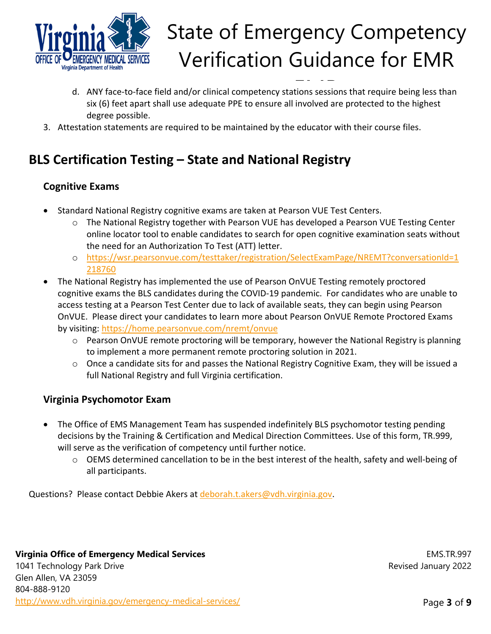

- d. ANY face-to-face field and/or clinical competency stations sessions that require being less than six (6) feet apart shall use adequate PPE to ensure all involved are protected to the highest degree possible.
- 3. Attestation statements are required to be maintained by the educator with their course files.

### **BLS Certification Testing – State and National Registry**

### **Cognitive Exams**

- Standard National Registry cognitive exams are taken at Pearson VUE Test Centers.
	- o The National Registry together with Pearson VUE has developed a Pearson VUE Testing Center online locator tool to enable candidates to search for open cognitive examination seats without the need for an Authorization To Test (ATT) letter.
	- o https://wsr.pearsonvue.com/testtaker/registration/SelectExamPage/NREMT?conversationId=1 218760
- The National Registry has implemented the use of Pearson OnVUE Testing remotely proctored cognitive exams the BLS candidates during the COVID‐19 pandemic. For candidates who are unable to access testing at a Pearson Test Center due to lack of available seats, they can begin using Pearson OnVUE. Please direct your candidates to learn more about Pearson OnVUE Remote Proctored Exams by visiting: https://home.pearsonvue.com/nremt/onvue
	- $\circ$  Pearson OnVUE remote proctoring will be temporary, however the National Registry is planning to implement a more permanent remote proctoring solution in 2021.
	- o Once a candidate sits for and passes the National Registry Cognitive Exam, they will be issued a full National Registry and full Virginia certification.

### **Virginia Psychomotor Exam**

- The Office of EMS Management Team has suspended indefinitely BLS psychomotor testing pending decisions by the Training & Certification and Medical Direction Committees. Use of this form, TR.999, will serve as the verification of competency until further notice.
	- o OEMS determined cancellation to be in the best interest of the health, safety and well‐being of all participants.

Questions? Please contact Debbie Akers at deborah.t.akers@vdh.virginia.gov.

#### **Virginia Office of Emergency Medical Services**

1041 Technology Park Drive Glen Allen, VA 23059 804-888-9120 http://www.vdh.virginia.gov/emergency-medical-services/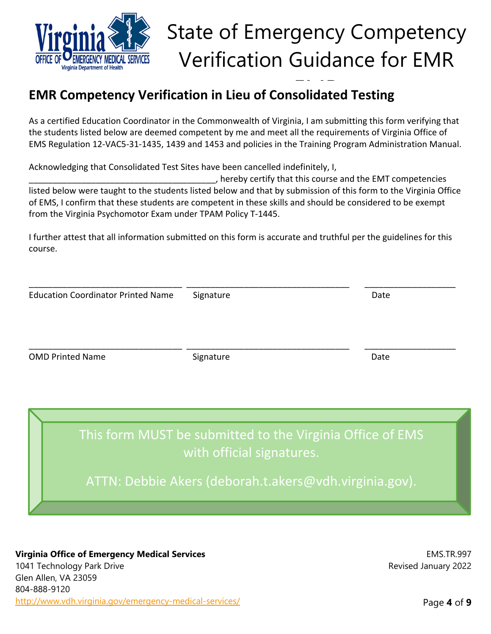

### **EMR Competency Verification in Lieu of Consolidated Testing**

As a certified Education Coordinator in the Commonwealth of Virginia, I am submitting this form verifying that the students listed below are deemed competent by me and meet all the requirements of Virginia Office of EMS Regulation 12‐VAC5‐31‐1435, 1439 and 1453 and policies in the Training Program Administration Manual.

Acknowledging that Consolidated Test Sites have been cancelled indefinitely, I,

\_\_\_\_\_\_\_\_\_\_\_\_\_\_\_\_\_\_\_\_\_\_\_\_\_\_\_\_\_\_\_\_\_\_\_\_\_\_\_, hereby certify that this course and the EMT competencies listed below were taught to the students listed below and that by submission of this form to the Virginia Office of EMS, I confirm that these students are competent in these skills and should be considered to be exempt from the Virginia Psychomotor Exam under TPAM Policy T‐1445.

I further attest that all information submitted on this form is accurate and truthful per the guidelines for this course.

\_\_\_\_\_\_\_\_\_\_\_\_\_\_\_\_\_\_\_\_\_\_\_\_\_\_\_\_\_\_\_\_ \_\_\_\_\_\_\_\_\_\_\_\_\_\_\_\_\_\_\_\_\_\_\_\_\_\_\_\_\_\_\_\_\_\_ \_\_\_\_\_\_\_\_\_\_\_\_\_\_\_\_\_\_\_

| <b>Education Coordinator Printed Name</b> | Signature | Date |  |
|-------------------------------------------|-----------|------|--|
| <b>OMD Printed Name</b>                   | Signature | Date |  |
|                                           |           |      |  |

This form MUST be submitted to the Virginia Office of EMS with official signatures.

ATTN: Debbie Akers (deborah.t.akers@vdh.virginia.gov).

#### **Virginia Office of Emergency Medical Services**

1041 Technology Park Drive Glen Allen, VA 23059 804-888-9120 http://www.vdh.virginia.gov/emergency-medical-services/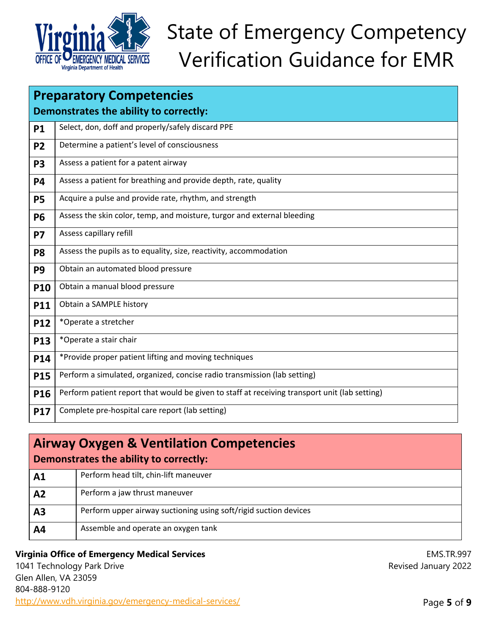

| <b>Preparatory Competencies</b>        |                                                                                               |  |
|----------------------------------------|-----------------------------------------------------------------------------------------------|--|
| Demonstrates the ability to correctly: |                                                                                               |  |
| <b>P1</b>                              | Select, don, doff and properly/safely discard PPE                                             |  |
| <b>P2</b>                              | Determine a patient's level of consciousness                                                  |  |
| <b>P3</b>                              | Assess a patient for a patent airway                                                          |  |
| <b>P4</b>                              | Assess a patient for breathing and provide depth, rate, quality                               |  |
| <b>P5</b>                              | Acquire a pulse and provide rate, rhythm, and strength                                        |  |
| <b>P6</b>                              | Assess the skin color, temp, and moisture, turgor and external bleeding                       |  |
| <b>P7</b>                              | Assess capillary refill                                                                       |  |
| P <sub>8</sub>                         | Assess the pupils as to equality, size, reactivity, accommodation                             |  |
| P <sub>9</sub>                         | Obtain an automated blood pressure                                                            |  |
| <b>P10</b>                             | Obtain a manual blood pressure                                                                |  |
| <b>P11</b>                             | Obtain a SAMPLE history                                                                       |  |
| <b>P12</b>                             | *Operate a stretcher                                                                          |  |
| <b>P13</b>                             | *Operate a stair chair                                                                        |  |
| <b>P14</b>                             | *Provide proper patient lifting and moving techniques                                         |  |
| <b>P15</b>                             | Perform a simulated, organized, concise radio transmission (lab setting)                      |  |
| P16                                    | Perform patient report that would be given to staff at receiving transport unit (lab setting) |  |
| P17                                    | Complete pre-hospital care report (lab setting)                                               |  |

| <b>Airway Oxygen &amp; Ventilation Competencies</b><br>Demonstrates the ability to correctly: |                                                                  |  |
|-----------------------------------------------------------------------------------------------|------------------------------------------------------------------|--|
| A <sub>1</sub>                                                                                | Perform head tilt, chin-lift maneuver                            |  |
| A <sub>2</sub>                                                                                | Perform a jaw thrust maneuver                                    |  |
| A <sub>3</sub>                                                                                | Perform upper airway suctioning using soft/rigid suction devices |  |
| A4                                                                                            | Assemble and operate an oxygen tank                              |  |
|                                                                                               |                                                                  |  |

#### **Virginia Office of Emergency Medical Services**

1041 Technology Park Drive Glen Allen, VA 23059 804-888-9120 http://www.vdh.virginia.gov/emergency-medical-services/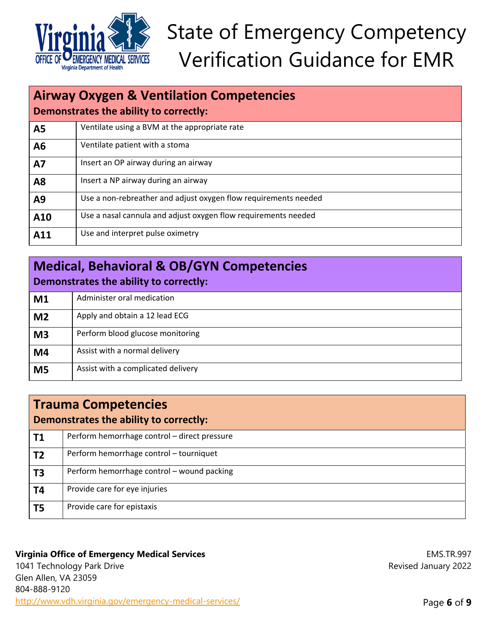

| <b>Airway Oxygen &amp; Ventilation Competencies</b><br>Demonstrates the ability to correctly: |                                                                 |  |
|-----------------------------------------------------------------------------------------------|-----------------------------------------------------------------|--|
| <b>A5</b>                                                                                     | Ventilate using a BVM at the appropriate rate                   |  |
| A6                                                                                            | Ventilate patient with a stoma                                  |  |
| <b>A7</b>                                                                                     | Insert an OP airway during an airway                            |  |
| <b>A8</b>                                                                                     | Insert a NP airway during an airway                             |  |
| A9                                                                                            | Use a non-rebreather and adjust oxygen flow requirements needed |  |
| A10                                                                                           | Use a nasal cannula and adjust oxygen flow requirements needed  |  |
| A11                                                                                           | Use and interpret pulse oximetry                                |  |

| <b>Medical, Behavioral &amp; OB/GYN Competencies</b><br>Demonstrates the ability to correctly: |                                    |  |
|------------------------------------------------------------------------------------------------|------------------------------------|--|
| M1                                                                                             | Administer oral medication         |  |
| M <sub>2</sub>                                                                                 | Apply and obtain a 12 lead ECG     |  |
| M <sub>3</sub>                                                                                 | Perform blood glucose monitoring   |  |
| M <sub>4</sub>                                                                                 | Assist with a normal delivery      |  |
| M <sub>5</sub>                                                                                 | Assist with a complicated delivery |  |

| <b>Trauma Competencies</b><br>Demonstrates the ability to correctly: |                                              |  |
|----------------------------------------------------------------------|----------------------------------------------|--|
| <b>T1</b>                                                            | Perform hemorrhage control - direct pressure |  |
| T <sub>2</sub>                                                       | Perform hemorrhage control - tourniquet      |  |
| T <sub>3</sub>                                                       | Perform hemorrhage control - wound packing   |  |
| <b>T4</b>                                                            | Provide care for eye injuries                |  |
| T <sub>5</sub>                                                       | Provide care for epistaxis                   |  |

#### **Virginia Office of Emergency Medical Services**

1041 Technology Park Drive Glen Allen, VA 23059 804-888-9120 http://www.vdh.virginia.gov/emergency-medical-services/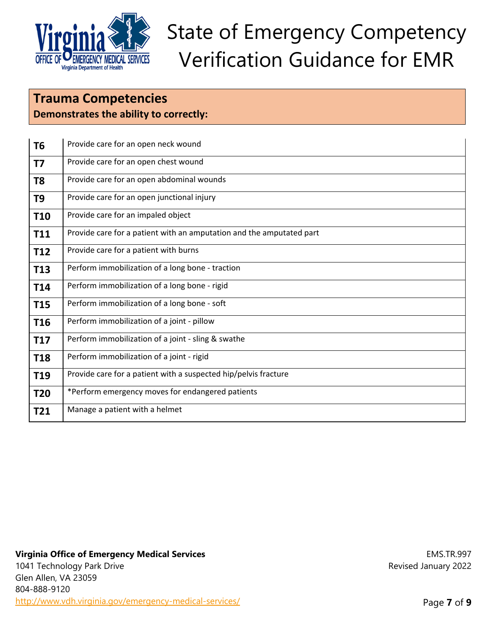

### **Trauma Competencies Demonstrates the ability to correctly:**

| T <sub>6</sub>  | Provide care for an open neck wound                                  |
|-----------------|----------------------------------------------------------------------|
| <b>T7</b>       | Provide care for an open chest wound                                 |
| T <sub>8</sub>  | Provide care for an open abdominal wounds                            |
| T <sub>9</sub>  | Provide care for an open junctional injury                           |
| <b>T10</b>      | Provide care for an impaled object                                   |
| T11             | Provide care for a patient with an amputation and the amputated part |
| T <sub>12</sub> | Provide care for a patient with burns                                |
| T <sub>13</sub> | Perform immobilization of a long bone - traction                     |
| T14             | Perform immobilization of a long bone - rigid                        |
| <b>T15</b>      | Perform immobilization of a long bone - soft                         |
| T <sub>16</sub> | Perform immobilization of a joint - pillow                           |
| <b>T17</b>      | Perform immobilization of a joint - sling & swathe                   |
| <b>T18</b>      | Perform immobilization of a joint - rigid                            |
| T <sub>19</sub> | Provide care for a patient with a suspected hip/pelvis fracture      |
| T20             | *Perform emergency moves for endangered patients                     |
| T21             | Manage a patient with a helmet                                       |

#### **Virginia Office of Emergency Medical Services**

1041 Technology Park Drive Glen Allen, VA 23059 804-888-9120 http://www.vdh.virginia.gov/emergency-medical-services/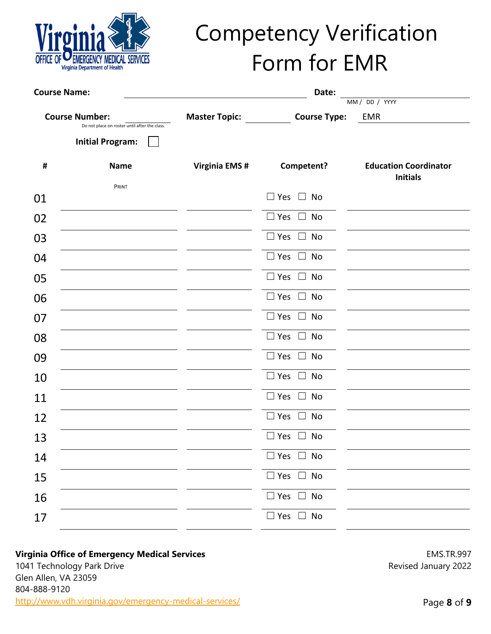

## Competency Verification Form for EMR

| <b>Course Name:</b><br>Date: |                                                                        |                      |                                        |                                                 |
|------------------------------|------------------------------------------------------------------------|----------------------|----------------------------------------|-------------------------------------------------|
|                              |                                                                        |                      |                                        | MM / DD / YYYY                                  |
|                              | <b>Course Number:</b><br>Do not place on roster until after the class. | <b>Master Topic:</b> | <b>Course Type:</b>                    | <b>EMR</b>                                      |
|                              | <b>Initial Program:</b>                                                |                      |                                        |                                                 |
| #                            | <b>Name</b>                                                            | <b>Virginia EMS#</b> | Competent?                             | <b>Education Coordinator</b><br><b>Initials</b> |
| 01                           | PRINT                                                                  |                      | $\Box$ Yes $\Box$ No                   |                                                 |
| 02                           |                                                                        |                      | $\Box$ Yes $\Box$<br>No                |                                                 |
| 03                           |                                                                        |                      | $\Box$ Yes $\Box$<br>No                |                                                 |
| 04                           |                                                                        |                      | $\Box$ Yes $\Box$<br>No                |                                                 |
| 05                           |                                                                        |                      | $\square$ Yes<br>No<br>$\Box$          |                                                 |
| 06                           |                                                                        |                      | $\Box$ Yes<br><b>No</b><br>$\Box$      |                                                 |
| 07                           |                                                                        |                      | $\Box$ Yes $\Box$ No                   |                                                 |
| 08                           |                                                                        |                      | $\square$ Yes<br>No<br>$\perp$         |                                                 |
| 09                           |                                                                        |                      | $\Box$ Yes $\Box$<br>No                |                                                 |
| 10                           |                                                                        |                      | $\Box$ Yes $\Box$<br>No                |                                                 |
| 11                           |                                                                        |                      | $\sqsupset$ Yes<br>No<br>$\perp$       |                                                 |
| 12                           |                                                                        |                      | <b>No</b><br>$\sqsupset$ Yes<br>$\Box$ |                                                 |
| 13                           |                                                                        |                      | $\Box$ Yes $\Box$<br>No                |                                                 |
| 14                           |                                                                        |                      | $\Box$ Yes $\Box$ No                   |                                                 |
| 15                           |                                                                        |                      | $\square$ Yes $\square$ No             |                                                 |
| 16                           |                                                                        |                      | $\square$ Yes $\square$ No             |                                                 |
| 17                           |                                                                        |                      | $\square$ Yes $\square$ No             |                                                 |

#### **Virginia Office of Emergency Medical Services**

1041 Technology Park Drive Glen Allen, VA 23059 804-888-9120 http://www.vdh.virginia.gov/emergency-medical-services/